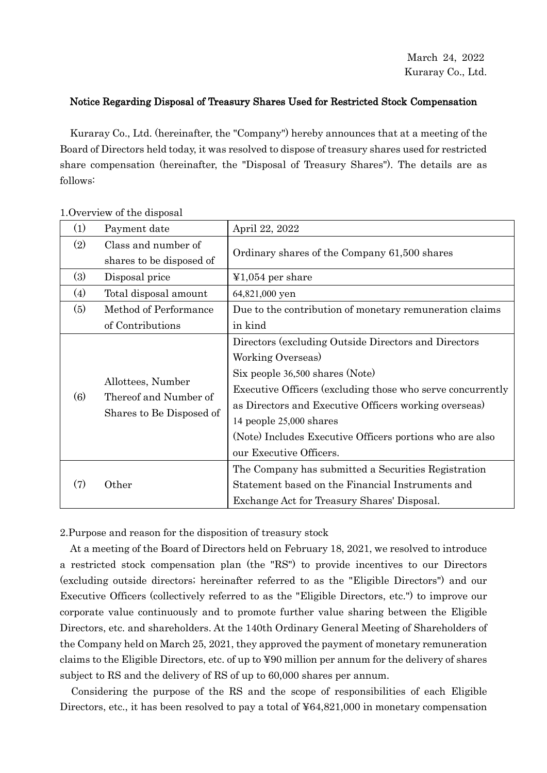## Notice Regarding Disposal of Treasury Shares Used for Restricted Stock Compensation

Kuraray Co., Ltd. (hereinafter, the "Company") hereby announces that at a meeting of the Board of Directors held today, it was resolved to dispose of treasury shares used for restricted share compensation (hereinafter, the "Disposal of Treasury Shares"). The details are as follows:

| (1) | Payment date                                                           | April 22, 2022                                             |
|-----|------------------------------------------------------------------------|------------------------------------------------------------|
| (2) | Class and number of                                                    | Ordinary shares of the Company 61,500 shares               |
|     | shares to be disposed of                                               |                                                            |
| (3) | Disposal price                                                         | $\text{\textsterling}1,054$ per share                      |
| (4) | Total disposal amount                                                  | 64,821,000 yen                                             |
| (5) | Method of Performance                                                  | Due to the contribution of monetary remuneration claims    |
|     | of Contributions                                                       | in kind                                                    |
| (6) | Allottees, Number<br>Thereof and Number of<br>Shares to Be Disposed of | Directors (excluding Outside Directors and Directors       |
|     |                                                                        | Working Overseas)                                          |
|     |                                                                        | Six people 36,500 shares (Note)                            |
|     |                                                                        | Executive Officers (excluding those who serve concurrently |
|     |                                                                        | as Directors and Executive Officers working overseas)      |
|     |                                                                        | 14 people 25,000 shares                                    |
|     |                                                                        | (Note) Includes Executive Officers portions who are also   |
|     |                                                                        | our Executive Officers.                                    |
| (7) | Other                                                                  | The Company has submitted a Securities Registration        |
|     |                                                                        | Statement based on the Financial Instruments and           |
|     |                                                                        | Exchange Act for Treasury Shares' Disposal.                |

1.Overview of the disposal

2.Purpose and reason for the disposition of treasury stock

At a meeting of the Board of Directors held on February 18, 2021, we resolved to introduce a restricted stock compensation plan (the "RS") to provide incentives to our Directors (excluding outside directors; hereinafter referred to as the "Eligible Directors") and our Executive Officers (collectively referred to as the "Eligible Directors, etc.") to improve our corporate value continuously and to promote further value sharing between the Eligible Directors, etc. and shareholders. At the 140th Ordinary General Meeting of Shareholders of the Company held on March 25, 2021, they approved the payment of monetary remuneration claims to the Eligible Directors, etc. of up to ¥90 million per annum for the delivery of shares subject to RS and the delivery of RS of up to 60,000 shares per annum.

Considering the purpose of the RS and the scope of responsibilities of each Eligible Directors, etc., it has been resolved to pay a total of ¥64,821,000 in monetary compensation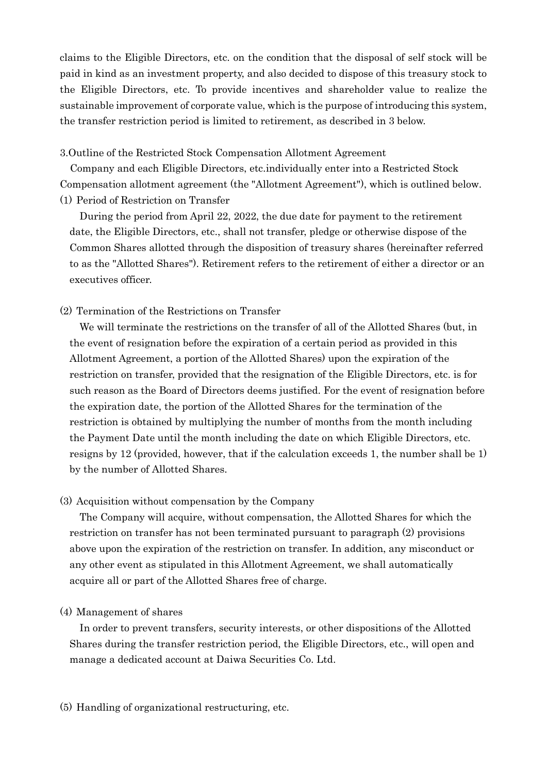claims to the Eligible Directors, etc. on the condition that the disposal of self stock will be paid in kind as an investment property, and also decided to dispose of this treasury stock to the Eligible Directors, etc. To provide incentives and shareholder value to realize the sustainable improvement of corporate value, which is the purpose of introducing this system, the transfer restriction period is limited to retirement, as described in 3 below.

3.Outline of the Restricted Stock Compensation Allotment Agreement

Company and each Eligible Directors, etc.individually enter into a Restricted Stock Compensation allotment agreement (the "Allotment Agreement"), which is outlined below. (1) Period of Restriction on Transfer

During the period from April 22, 2022, the due date for payment to the retirement date, the Eligible Directors, etc., shall not transfer, pledge or otherwise dispose of the Common Shares allotted through the disposition of treasury shares (hereinafter referred to as the "Allotted Shares"). Retirement refers to the retirement of either a director or an executives officer.

(2) Termination of the Restrictions on Transfer

We will terminate the restrictions on the transfer of all of the Allotted Shares (but, in the event of resignation before the expiration of a certain period as provided in this Allotment Agreement, a portion of the Allotted Shares) upon the expiration of the restriction on transfer, provided that the resignation of the Eligible Directors, etc. is for such reason as the Board of Directors deems justified. For the event of resignation before the expiration date, the portion of the Allotted Shares for the termination of the restriction is obtained by multiplying the number of months from the month including the Payment Date until the month including the date on which Eligible Directors, etc. resigns by 12 (provided, however, that if the calculation exceeds 1, the number shall be 1) by the number of Allotted Shares.

## (3) Acquisition without compensation by the Company

The Company will acquire, without compensation, the Allotted Shares for which the restriction on transfer has not been terminated pursuant to paragraph (2) provisions above upon the expiration of the restriction on transfer. In addition, any misconduct or any other event as stipulated in this Allotment Agreement, we shall automatically acquire all or part of the Allotted Shares free of charge.

## (4) Management of shares

In order to prevent transfers, security interests, or other dispositions of the Allotted Shares during the transfer restriction period, the Eligible Directors, etc., will open and manage a dedicated account at Daiwa Securities Co. Ltd.